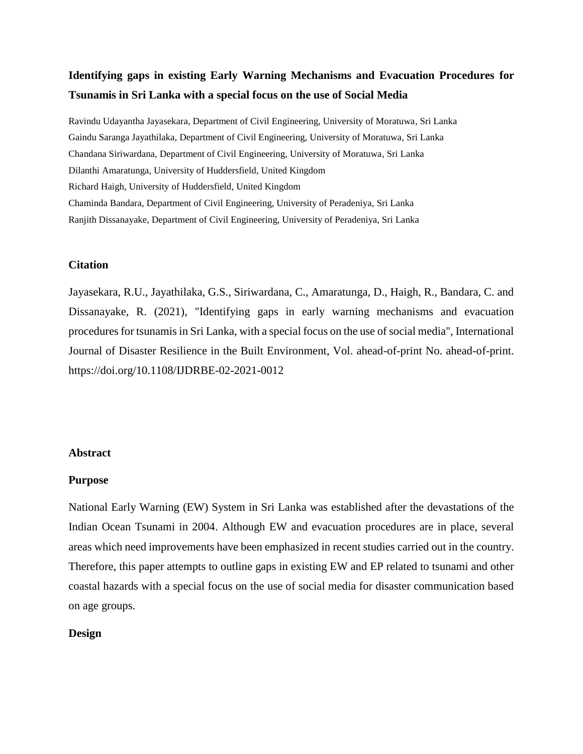# **Identifying gaps in existing Early Warning Mechanisms and Evacuation Procedures for Tsunamis in Sri Lanka with a special focus on the use of Social Media**

Ravindu Udayantha Jayasekara, Department of Civil Engineering, University of Moratuwa, Sri Lanka Gaindu Saranga Jayathilaka, Department of Civil Engineering, University of Moratuwa, Sri Lanka Chandana Siriwardana, Department of Civil Engineering, University of Moratuwa, Sri Lanka Dilanthi Amaratunga, University of Huddersfield, United Kingdom Richard Haigh, University of Huddersfield, United Kingdom Chaminda Bandara, Department of Civil Engineering, University of Peradeniya, Sri Lanka Ranjith Dissanayake, Department of Civil Engineering, University of Peradeniya, Sri Lanka

## **Citation**

Jayasekara, R.U., Jayathilaka, G.S., Siriwardana, C., Amaratunga, D., Haigh, R., Bandara, C. and Dissanayake, R. (2021), "Identifying gaps in early warning mechanisms and evacuation procedures for tsunamis in Sri Lanka, with a special focus on the use of social media", International Journal of Disaster Resilience in the Built Environment, Vol. ahead-of-print No. ahead-of-print. https://doi.org/10.1108/IJDRBE-02-2021-0012

## **Abstract**

#### **Purpose**

National Early Warning (EW) System in Sri Lanka was established after the devastations of the Indian Ocean Tsunami in 2004. Although EW and evacuation procedures are in place, several areas which need improvements have been emphasized in recent studies carried out in the country. Therefore, this paper attempts to outline gaps in existing EW and EP related to tsunami and other coastal hazards with a special focus on the use of social media for disaster communication based on age groups.

## **Design**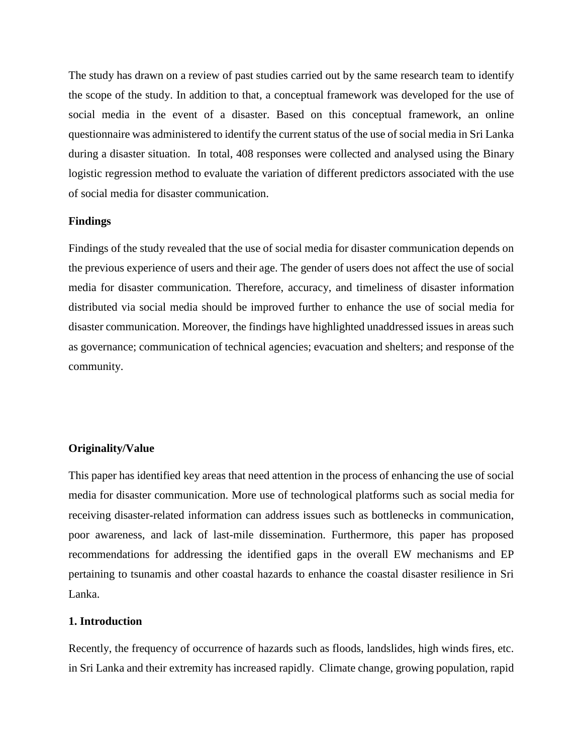The study has drawn on a review of past studies carried out by the same research team to identify the scope of the study. In addition to that, a conceptual framework was developed for the use of social media in the event of a disaster. Based on this conceptual framework, an online questionnaire was administered to identify the current status of the use of social media in Sri Lanka during a disaster situation. In total, 408 responses were collected and analysed using the Binary logistic regression method to evaluate the variation of different predictors associated with the use of social media for disaster communication.

## **Findings**

Findings of the study revealed that the use of social media for disaster communication depends on the previous experience of users and their age. The gender of users does not affect the use of social media for disaster communication. Therefore, accuracy, and timeliness of disaster information distributed via social media should be improved further to enhance the use of social media for disaster communication. Moreover, the findings have highlighted unaddressed issues in areas such as governance; communication of technical agencies; evacuation and shelters; and response of the community.

#### **Originality/Value**

This paper has identified key areas that need attention in the process of enhancing the use of social media for disaster communication. More use of technological platforms such as social media for receiving disaster-related information can address issues such as bottlenecks in communication, poor awareness, and lack of last-mile dissemination. Furthermore, this paper has proposed recommendations for addressing the identified gaps in the overall EW mechanisms and EP pertaining to tsunamis and other coastal hazards to enhance the coastal disaster resilience in Sri Lanka.

## **1. Introduction**

Recently, the frequency of occurrence of hazards such as floods, landslides, high winds fires, etc. in Sri Lanka and their extremity has increased rapidly. Climate change, growing population, rapid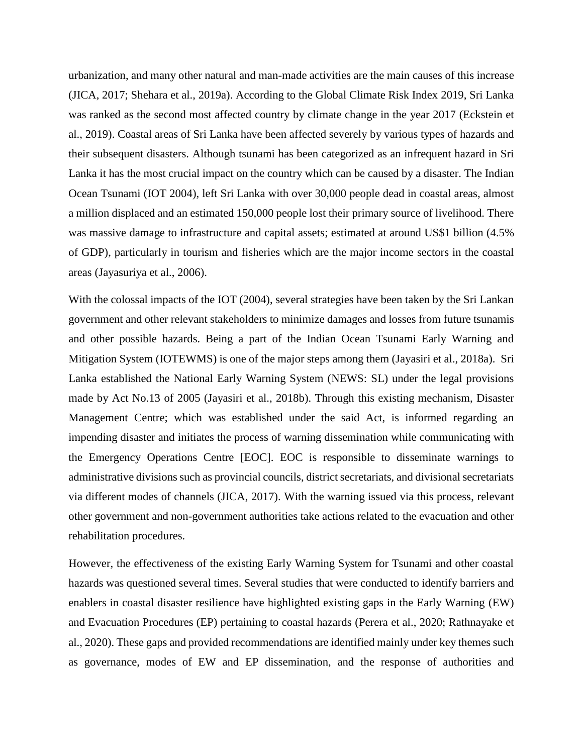urbanization, and many other natural and man-made activities are the main causes of this increase (JICA, 2017; Shehara et al., 2019a). According to the Global Climate Risk Index 2019, Sri Lanka was ranked as the second most affected country by climate change in the year 2017 (Eckstein et al., 2019). Coastal areas of Sri Lanka have been affected severely by various types of hazards and their subsequent disasters. Although tsunami has been categorized as an infrequent hazard in Sri Lanka it has the most crucial impact on the country which can be caused by a disaster. The Indian Ocean Tsunami (IOT 2004), left Sri Lanka with over 30,000 people dead in coastal areas, almost a million displaced and an estimated 150,000 people lost their primary source of livelihood. There was massive damage to infrastructure and capital assets; estimated at around US\$1 billion (4.5% of GDP), particularly in tourism and fisheries which are the major income sectors in the coastal areas (Jayasuriya et al., 2006).

With the colossal impacts of the IOT (2004), several strategies have been taken by the Sri Lankan government and other relevant stakeholders to minimize damages and losses from future tsunamis and other possible hazards. Being a part of the Indian Ocean Tsunami Early Warning and Mitigation System (IOTEWMS) is one of the major steps among them (Jayasiri et al., 2018a). Sri Lanka established the National Early Warning System (NEWS: SL) under the legal provisions made by Act No.13 of 2005 (Jayasiri et al., 2018b). Through this existing mechanism, Disaster Management Centre; which was established under the said Act, is informed regarding an impending disaster and initiates the process of warning dissemination while communicating with the Emergency Operations Centre [EOC]. EOC is responsible to disseminate warnings to administrative divisions such as provincial councils, district secretariats, and divisional secretariats via different modes of channels (JICA, 2017). With the warning issued via this process, relevant other government and non-government authorities take actions related to the evacuation and other rehabilitation procedures.

However, the effectiveness of the existing Early Warning System for Tsunami and other coastal hazards was questioned several times. Several studies that were conducted to identify barriers and enablers in coastal disaster resilience have highlighted existing gaps in the Early Warning (EW) and Evacuation Procedures (EP) pertaining to coastal hazards (Perera et al., 2020; Rathnayake et al., 2020). These gaps and provided recommendations are identified mainly under key themes such as governance, modes of EW and EP dissemination, and the response of authorities and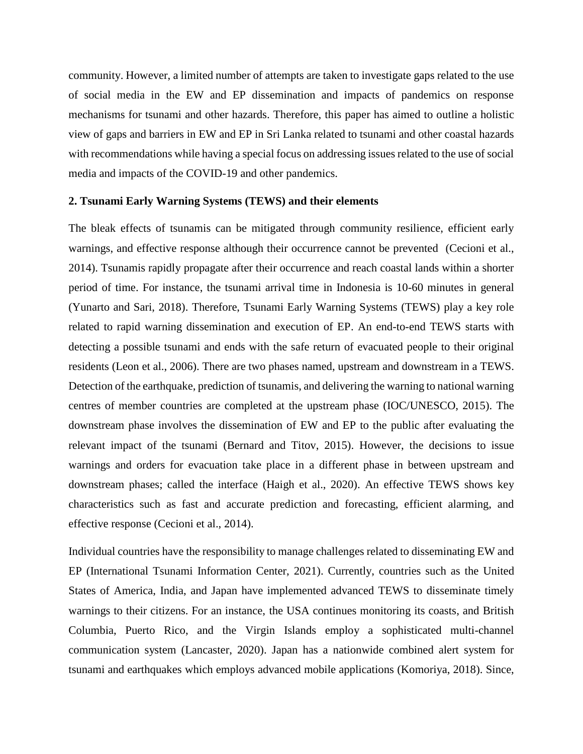community. However, a limited number of attempts are taken to investigate gaps related to the use of social media in the EW and EP dissemination and impacts of pandemics on response mechanisms for tsunami and other hazards. Therefore, this paper has aimed to outline a holistic view of gaps and barriers in EW and EP in Sri Lanka related to tsunami and other coastal hazards with recommendations while having a special focus on addressing issues related to the use of social media and impacts of the COVID-19 and other pandemics.

## **2. Tsunami Early Warning Systems (TEWS) and their elements**

The bleak effects of tsunamis can be mitigated through community resilience, efficient early warnings, and effective response although their occurrence cannot be prevented (Cecioni et al., 2014). Tsunamis rapidly propagate after their occurrence and reach coastal lands within a shorter period of time. For instance, the tsunami arrival time in Indonesia is 10-60 minutes in general (Yunarto and Sari, 2018). Therefore, Tsunami Early Warning Systems (TEWS) play a key role related to rapid warning dissemination and execution of EP. An end-to-end TEWS starts with detecting a possible tsunami and ends with the safe return of evacuated people to their original residents (Leon et al., 2006). There are two phases named, upstream and downstream in a TEWS. Detection of the earthquake, prediction of tsunamis, and delivering the warning to national warning centres of member countries are completed at the upstream phase (IOC/UNESCO, 2015). The downstream phase involves the dissemination of EW and EP to the public after evaluating the relevant impact of the tsunami (Bernard and Titov, 2015). However, the decisions to issue warnings and orders for evacuation take place in a different phase in between upstream and downstream phases; called the interface (Haigh et al., 2020). An effective TEWS shows key characteristics such as fast and accurate prediction and forecasting, efficient alarming, and effective response (Cecioni et al., 2014).

Individual countries have the responsibility to manage challenges related to disseminating EW and EP (International Tsunami Information Center, 2021). Currently, countries such as the United States of America, India, and Japan have implemented advanced TEWS to disseminate timely warnings to their citizens. For an instance, the USA continues monitoring its coasts, and British Columbia, Puerto Rico, and the Virgin Islands employ a sophisticated multi-channel communication system (Lancaster, 2020). Japan has a nationwide combined alert system for tsunami and earthquakes which employs advanced mobile applications (Komoriya, 2018). Since,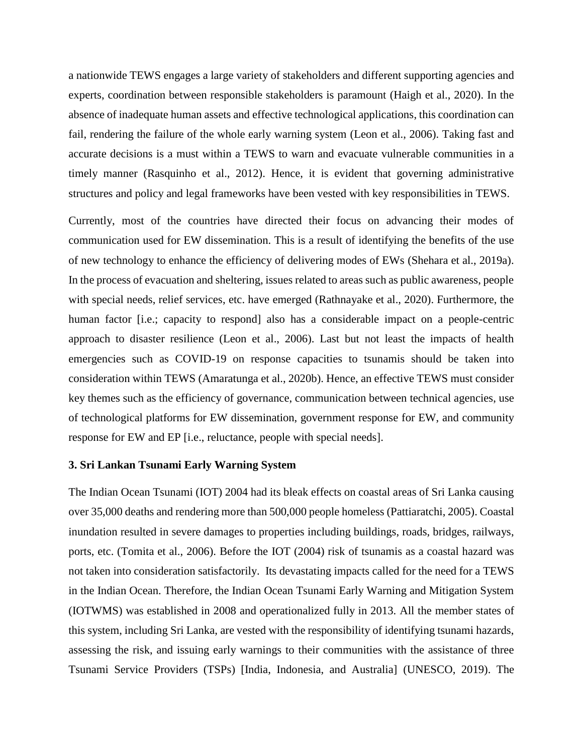a nationwide TEWS engages a large variety of stakeholders and different supporting agencies and experts, coordination between responsible stakeholders is paramount (Haigh et al., 2020). In the absence of inadequate human assets and effective technological applications, this coordination can fail, rendering the failure of the whole early warning system (Leon et al., 2006). Taking fast and accurate decisions is a must within a TEWS to warn and evacuate vulnerable communities in a timely manner (Rasquinho et al., 2012). Hence, it is evident that governing administrative structures and policy and legal frameworks have been vested with key responsibilities in TEWS.

Currently, most of the countries have directed their focus on advancing their modes of communication used for EW dissemination. This is a result of identifying the benefits of the use of new technology to enhance the efficiency of delivering modes of EWs (Shehara et al., 2019a). In the process of evacuation and sheltering, issues related to areas such as public awareness, people with special needs, relief services, etc. have emerged (Rathnayake et al., 2020). Furthermore, the human factor [i.e.; capacity to respond] also has a considerable impact on a people-centric approach to disaster resilience (Leon et al., 2006). Last but not least the impacts of health emergencies such as COVID-19 on response capacities to tsunamis should be taken into consideration within TEWS (Amaratunga et al., 2020b). Hence, an effective TEWS must consider key themes such as the efficiency of governance, communication between technical agencies, use of technological platforms for EW dissemination, government response for EW, and community response for EW and EP [i.e., reluctance, people with special needs].

## **3. Sri Lankan Tsunami Early Warning System**

The Indian Ocean Tsunami (IOT) 2004 had its bleak effects on coastal areas of Sri Lanka causing over 35,000 deaths and rendering more than 500,000 people homeless (Pattiaratchi, 2005). Coastal inundation resulted in severe damages to properties including buildings, roads, bridges, railways, ports, etc. (Tomita et al., 2006). Before the IOT (2004) risk of tsunamis as a coastal hazard was not taken into consideration satisfactorily. Its devastating impacts called for the need for a TEWS in the Indian Ocean. Therefore, the Indian Ocean Tsunami Early Warning and Mitigation System (IOTWMS) was established in 2008 and operationalized fully in 2013. All the member states of this system, including Sri Lanka, are vested with the responsibility of identifying tsunami hazards, assessing the risk, and issuing early warnings to their communities with the assistance of three Tsunami Service Providers (TSPs) [India, Indonesia, and Australia] (UNESCO, 2019). The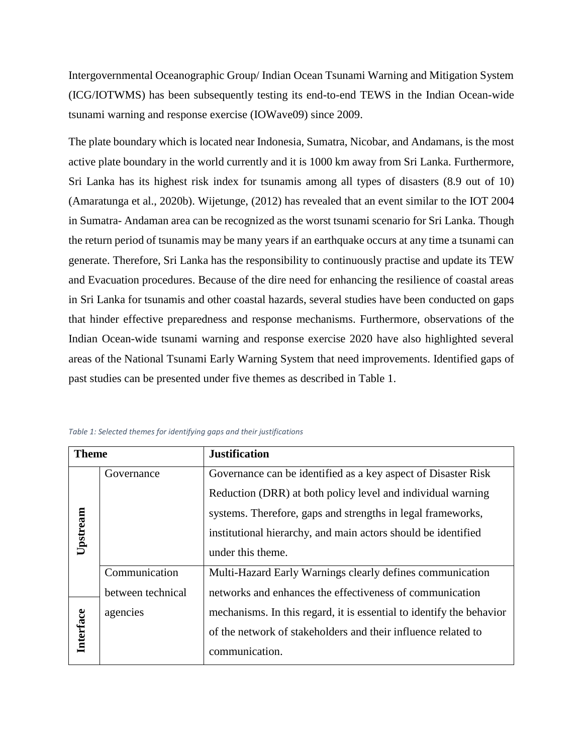Intergovernmental Oceanographic Group/ Indian Ocean Tsunami Warning and Mitigation System (ICG/IOTWMS) has been subsequently testing its end-to-end TEWS in the Indian Ocean-wide tsunami warning and response exercise (IOWave09) since 2009.

The plate boundary which is located near Indonesia, Sumatra, Nicobar, and Andamans, is the most active plate boundary in the world currently and it is 1000 km away from Sri Lanka. Furthermore, Sri Lanka has its highest risk index for tsunamis among all types of disasters (8.9 out of 10) (Amaratunga et al., 2020b). Wijetunge, (2012) has revealed that an event similar to the IOT 2004 in Sumatra- Andaman area can be recognized as the worst tsunami scenario for Sri Lanka. Though the return period of tsunamis may be many years if an earthquake occurs at any time a tsunami can generate. Therefore, Sri Lanka has the responsibility to continuously practise and update its TEW and Evacuation procedures. Because of the dire need for enhancing the resilience of coastal areas in Sri Lanka for tsunamis and other coastal hazards, several studies have been conducted on gaps that hinder effective preparedness and response mechanisms. Furthermore, observations of the Indian Ocean-wide tsunami warning and response exercise 2020 have also highlighted several areas of the National Tsunami Early Warning System that need improvements. Identified gaps of past studies can be presented under five themes as described in Table 1.

| <b>Theme</b> |                   | <b>Justification</b>                                                 |  |
|--------------|-------------------|----------------------------------------------------------------------|--|
|              | Governance        | Governance can be identified as a key aspect of Disaster Risk        |  |
| Upstream     |                   | Reduction (DRR) at both policy level and individual warning          |  |
|              |                   | systems. Therefore, gaps and strengths in legal frameworks,          |  |
|              |                   | institutional hierarchy, and main actors should be identified        |  |
|              |                   | under this theme.                                                    |  |
|              | Communication     | Multi-Hazard Early Warnings clearly defines communication            |  |
|              | between technical | networks and enhances the effectiveness of communication             |  |
|              | agencies          | mechanisms. In this regard, it is essential to identify the behavior |  |
| Interface    |                   | of the network of stakeholders and their influence related to        |  |
|              |                   | communication.                                                       |  |

*Table 1: Selected themes for identifying gaps and their justifications*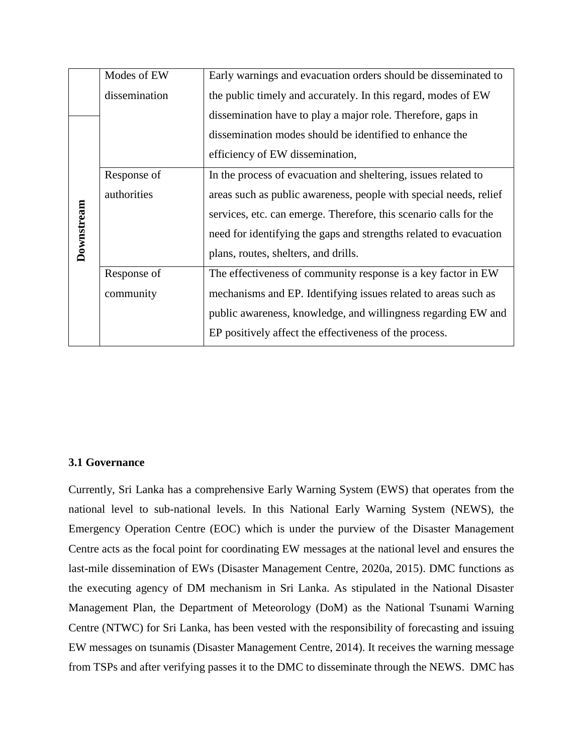|            | Modes of EW   | Early warnings and evacuation orders should be disseminated to    |  |
|------------|---------------|-------------------------------------------------------------------|--|
|            | dissemination | the public timely and accurately. In this regard, modes of EW     |  |
|            |               | dissemination have to play a major role. Therefore, gaps in       |  |
|            |               | dissemination modes should be identified to enhance the           |  |
|            |               | efficiency of EW dissemination,                                   |  |
|            | Response of   | In the process of evacuation and sheltering, issues related to    |  |
| Downstream | authorities   | areas such as public awareness, people with special needs, relief |  |
|            |               | services, etc. can emerge. Therefore, this scenario calls for the |  |
|            |               | need for identifying the gaps and strengths related to evacuation |  |
|            |               | plans, routes, shelters, and drills.                              |  |
|            | Response of   | The effectiveness of community response is a key factor in EW     |  |
|            | community     | mechanisms and EP. Identifying issues related to areas such as    |  |
|            |               | public awareness, knowledge, and willingness regarding EW and     |  |
|            |               | EP positively affect the effectiveness of the process.            |  |

## **3.1 Governance**

Currently, Sri Lanka has a comprehensive Early Warning System (EWS) that operates from the national level to sub-national levels. In this National Early Warning System (NEWS), the Emergency Operation Centre (EOC) which is under the purview of the Disaster Management Centre acts as the focal point for coordinating EW messages at the national level and ensures the last-mile dissemination of EWs (Disaster Management Centre, 2020a, 2015). DMC functions as the executing agency of DM mechanism in Sri Lanka. As stipulated in the National Disaster Management Plan, the Department of Meteorology (DoM) as the National Tsunami Warning Centre (NTWC) for Sri Lanka, has been vested with the responsibility of forecasting and issuing EW messages on tsunamis (Disaster Management Centre, 2014). It receives the warning message from TSPs and after verifying passes it to the DMC to disseminate through the NEWS. DMC has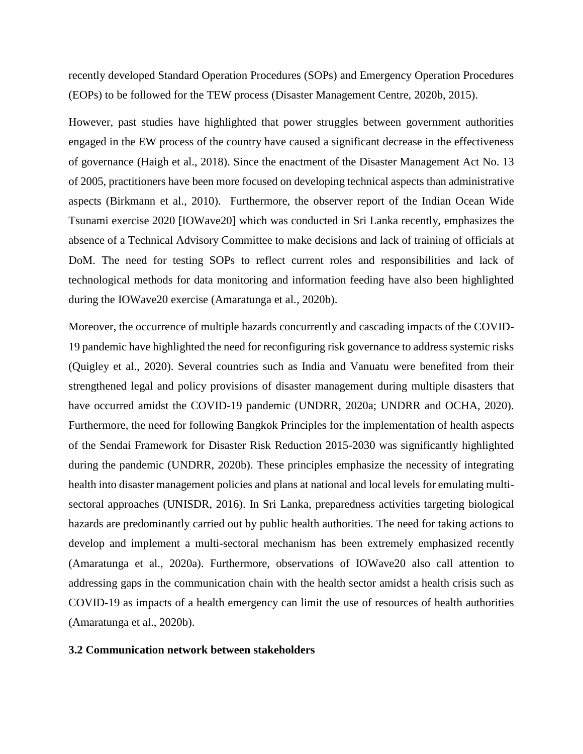recently developed Standard Operation Procedures (SOPs) and Emergency Operation Procedures (EOPs) to be followed for the TEW process (Disaster Management Centre, 2020b, 2015).

However, past studies have highlighted that power struggles between government authorities engaged in the EW process of the country have caused a significant decrease in the effectiveness of governance (Haigh et al., 2018). Since the enactment of the Disaster Management Act No. 13 of 2005, practitioners have been more focused on developing technical aspects than administrative aspects (Birkmann et al., 2010). Furthermore, the observer report of the Indian Ocean Wide Tsunami exercise 2020 [IOWave20] which was conducted in Sri Lanka recently, emphasizes the absence of a Technical Advisory Committee to make decisions and lack of training of officials at DoM. The need for testing SOPs to reflect current roles and responsibilities and lack of technological methods for data monitoring and information feeding have also been highlighted during the IOWave20 exercise (Amaratunga et al., 2020b).

Moreover, the occurrence of multiple hazards concurrently and cascading impacts of the COVID-19 pandemic have highlighted the need for reconfiguring risk governance to address systemic risks (Quigley et al., 2020). Several countries such as India and Vanuatu were benefited from their strengthened legal and policy provisions of disaster management during multiple disasters that have occurred amidst the COVID-19 pandemic (UNDRR, 2020a; UNDRR and OCHA, 2020). Furthermore, the need for following Bangkok Principles for the implementation of health aspects of the Sendai Framework for Disaster Risk Reduction 2015-2030 was significantly highlighted during the pandemic (UNDRR, 2020b). These principles emphasize the necessity of integrating health into disaster management policies and plans at national and local levels for emulating multisectoral approaches (UNISDR, 2016). In Sri Lanka, preparedness activities targeting biological hazards are predominantly carried out by public health authorities. The need for taking actions to develop and implement a multi-sectoral mechanism has been extremely emphasized recently (Amaratunga et al., 2020a). Furthermore, observations of IOWave20 also call attention to addressing gaps in the communication chain with the health sector amidst a health crisis such as COVID-19 as impacts of a health emergency can limit the use of resources of health authorities (Amaratunga et al., 2020b).

## **3.2 Communication network between stakeholders**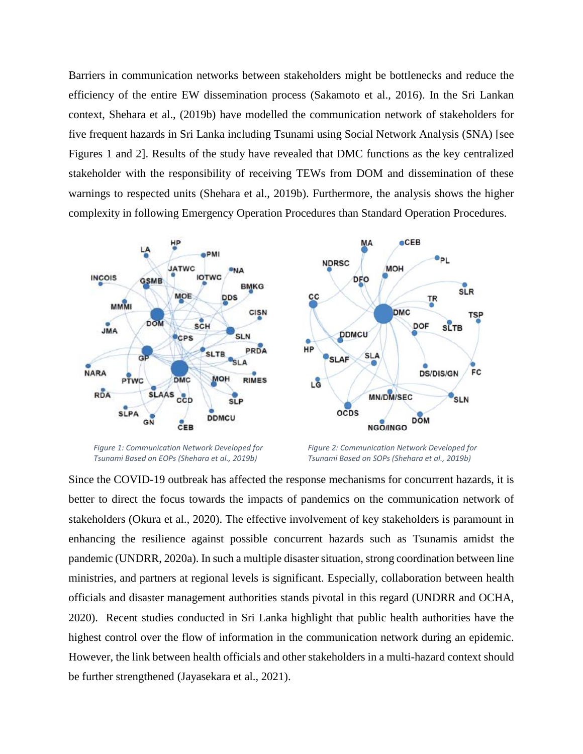Barriers in communication networks between stakeholders might be bottlenecks and reduce the efficiency of the entire EW dissemination process (Sakamoto et al., 2016). In the Sri Lankan context, Shehara et al., (2019b) have modelled the communication network of stakeholders for five frequent hazards in Sri Lanka including Tsunami using Social Network Analysis (SNA) [see Figures 1 and 2]. Results of the study have revealed that DMC functions as the key centralized stakeholder with the responsibility of receiving TEWs from DOM and dissemination of these warnings to respected units (Shehara et al., 2019b). Furthermore, the analysis shows the higher complexity in following Emergency Operation Procedures than Standard Operation Procedures.



*Figure 1: Communication Network Developed for Tsunami Based on EOPs (Shehara et al., 2019b)*

*Figure 2: Communication Network Developed for Tsunami Based on SOPs (Shehara et al., 2019b)*

Since the COVID-19 outbreak has affected the response mechanisms for concurrent hazards, it is better to direct the focus towards the impacts of pandemics on the communication network of stakeholders (Okura et al., 2020). The effective involvement of key stakeholders is paramount in enhancing the resilience against possible concurrent hazards such as Tsunamis amidst the pandemic (UNDRR, 2020a). In such a multiple disaster situation, strong coordination between line ministries, and partners at regional levels is significant. Especially, collaboration between health officials and disaster management authorities stands pivotal in this regard (UNDRR and OCHA, 2020). Recent studies conducted in Sri Lanka highlight that public health authorities have the highest control over the flow of information in the communication network during an epidemic. However, the link between health officials and other stakeholders in a multi-hazard context should be further strengthened (Jayasekara et al., 2021).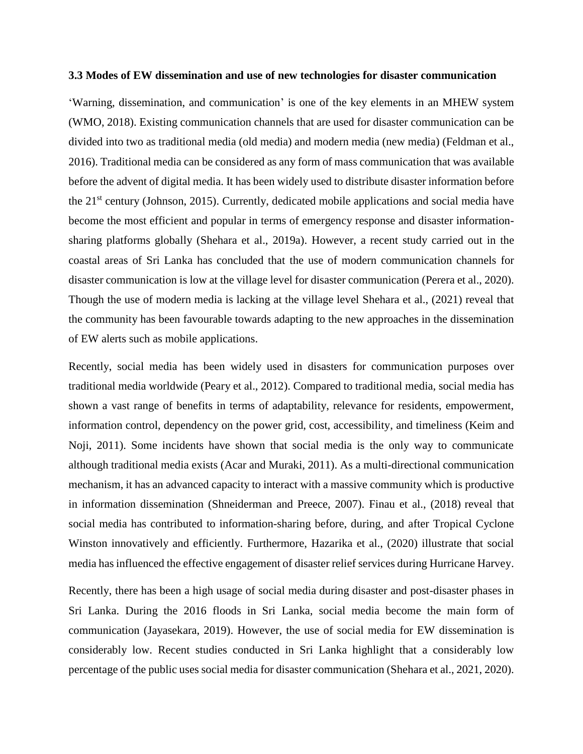#### **3.3 Modes of EW dissemination and use of new technologies for disaster communication**

'Warning, dissemination, and communication' is one of the key elements in an MHEW system (WMO, 2018). Existing communication channels that are used for disaster communication can be divided into two as traditional media (old media) and modern media (new media) (Feldman et al., 2016). Traditional media can be considered as any form of mass communication that was available before the advent of digital media. It has been widely used to distribute disaster information before the  $21<sup>st</sup>$  century (Johnson, 2015). Currently, dedicated mobile applications and social media have become the most efficient and popular in terms of emergency response and disaster informationsharing platforms globally (Shehara et al., 2019a). However, a recent study carried out in the coastal areas of Sri Lanka has concluded that the use of modern communication channels for disaster communication is low at the village level for disaster communication (Perera et al., 2020). Though the use of modern media is lacking at the village level Shehara et al., (2021) reveal that the community has been favourable towards adapting to the new approaches in the dissemination of EW alerts such as mobile applications.

Recently, social media has been widely used in disasters for communication purposes over traditional media worldwide (Peary et al., 2012). Compared to traditional media, social media has shown a vast range of benefits in terms of adaptability, relevance for residents, empowerment, information control, dependency on the power grid, cost, accessibility, and timeliness (Keim and Noji, 2011). Some incidents have shown that social media is the only way to communicate although traditional media exists (Acar and Muraki, 2011). As a multi-directional communication mechanism, it has an advanced capacity to interact with a massive community which is productive in information dissemination (Shneiderman and Preece, 2007). Finau et al., (2018) reveal that social media has contributed to information-sharing before, during, and after Tropical Cyclone Winston innovatively and efficiently. Furthermore, Hazarika et al., (2020) illustrate that social media has influenced the effective engagement of disaster relief services during Hurricane Harvey.

Recently, there has been a high usage of social media during disaster and post-disaster phases in Sri Lanka. During the 2016 floods in Sri Lanka, social media become the main form of communication (Jayasekara, 2019). However, the use of social media for EW dissemination is considerably low. Recent studies conducted in Sri Lanka highlight that a considerably low percentage of the public uses social media for disaster communication (Shehara et al., 2021, 2020).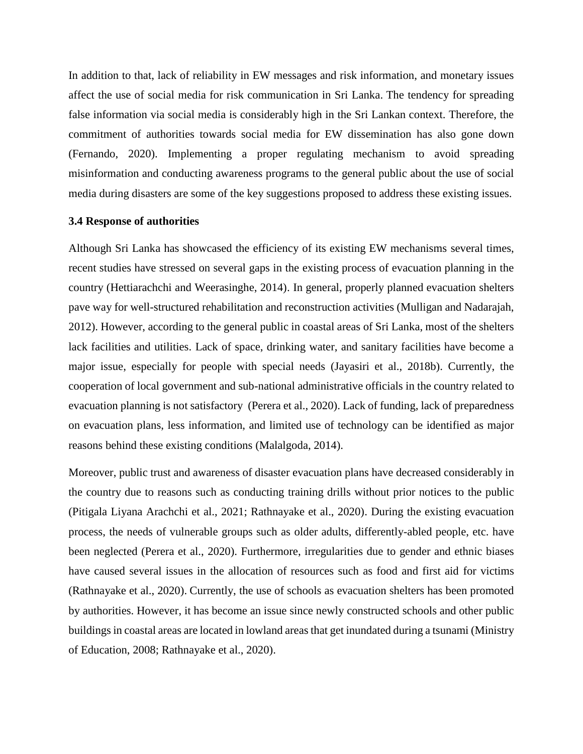In addition to that, lack of reliability in EW messages and risk information, and monetary issues affect the use of social media for risk communication in Sri Lanka. The tendency for spreading false information via social media is considerably high in the Sri Lankan context. Therefore, the commitment of authorities towards social media for EW dissemination has also gone down (Fernando, 2020). Implementing a proper regulating mechanism to avoid spreading misinformation and conducting awareness programs to the general public about the use of social media during disasters are some of the key suggestions proposed to address these existing issues.

## **3.4 Response of authorities**

Although Sri Lanka has showcased the efficiency of its existing EW mechanisms several times, recent studies have stressed on several gaps in the existing process of evacuation planning in the country (Hettiarachchi and Weerasinghe, 2014). In general, properly planned evacuation shelters pave way for well-structured rehabilitation and reconstruction activities (Mulligan and Nadarajah, 2012). However, according to the general public in coastal areas of Sri Lanka, most of the shelters lack facilities and utilities. Lack of space, drinking water, and sanitary facilities have become a major issue, especially for people with special needs (Jayasiri et al., 2018b). Currently, the cooperation of local government and sub-national administrative officials in the country related to evacuation planning is not satisfactory (Perera et al., 2020). Lack of funding, lack of preparedness on evacuation plans, less information, and limited use of technology can be identified as major reasons behind these existing conditions (Malalgoda, 2014).

Moreover, public trust and awareness of disaster evacuation plans have decreased considerably in the country due to reasons such as conducting training drills without prior notices to the public (Pitigala Liyana Arachchi et al., 2021; Rathnayake et al., 2020). During the existing evacuation process, the needs of vulnerable groups such as older adults, differently-abled people, etc. have been neglected (Perera et al., 2020). Furthermore, irregularities due to gender and ethnic biases have caused several issues in the allocation of resources such as food and first aid for victims (Rathnayake et al., 2020). Currently, the use of schools as evacuation shelters has been promoted by authorities. However, it has become an issue since newly constructed schools and other public buildings in coastal areas are located in lowland areas that get inundated during a tsunami (Ministry of Education, 2008; Rathnayake et al., 2020).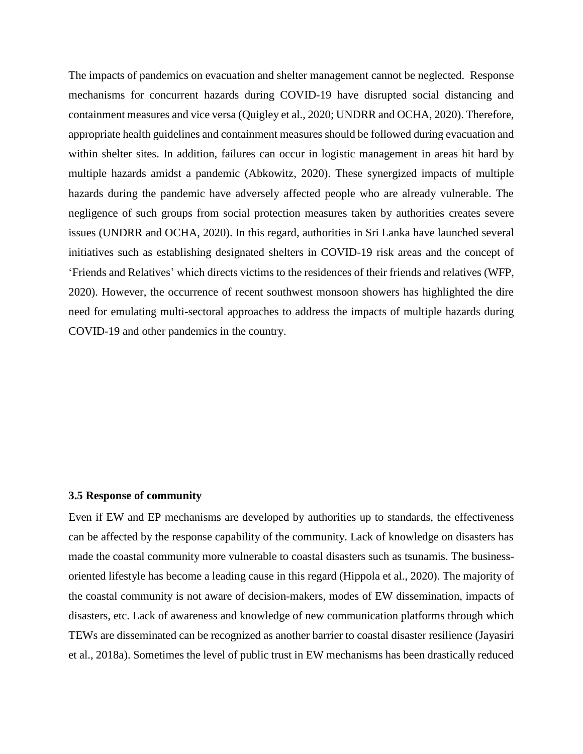The impacts of pandemics on evacuation and shelter management cannot be neglected. Response mechanisms for concurrent hazards during COVID-19 have disrupted social distancing and containment measures and vice versa (Quigley et al., 2020; UNDRR and OCHA, 2020). Therefore, appropriate health guidelines and containment measures should be followed during evacuation and within shelter sites. In addition, failures can occur in logistic management in areas hit hard by multiple hazards amidst a pandemic (Abkowitz, 2020). These synergized impacts of multiple hazards during the pandemic have adversely affected people who are already vulnerable. The negligence of such groups from social protection measures taken by authorities creates severe issues (UNDRR and OCHA, 2020). In this regard, authorities in Sri Lanka have launched several initiatives such as establishing designated shelters in COVID-19 risk areas and the concept of 'Friends and Relatives' which directs victims to the residences of their friends and relatives (WFP, 2020). However, the occurrence of recent southwest monsoon showers has highlighted the dire need for emulating multi-sectoral approaches to address the impacts of multiple hazards during COVID-19 and other pandemics in the country.

#### **3.5 Response of community**

Even if EW and EP mechanisms are developed by authorities up to standards, the effectiveness can be affected by the response capability of the community. Lack of knowledge on disasters has made the coastal community more vulnerable to coastal disasters such as tsunamis. The businessoriented lifestyle has become a leading cause in this regard (Hippola et al., 2020). The majority of the coastal community is not aware of decision-makers, modes of EW dissemination, impacts of disasters, etc. Lack of awareness and knowledge of new communication platforms through which TEWs are disseminated can be recognized as another barrier to coastal disaster resilience (Jayasiri et al., 2018a). Sometimes the level of public trust in EW mechanisms has been drastically reduced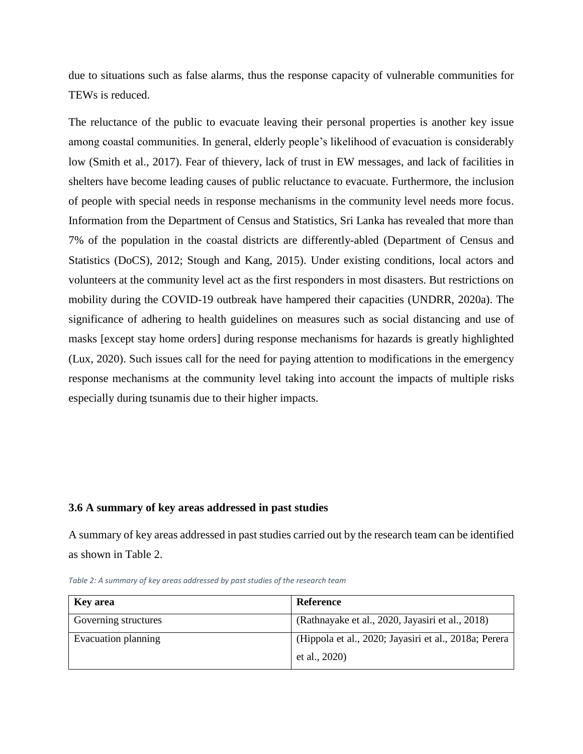due to situations such as false alarms, thus the response capacity of vulnerable communities for TEWs is reduced.

The reluctance of the public to evacuate leaving their personal properties is another key issue among coastal communities. In general, elderly people's likelihood of evacuation is considerably low (Smith et al., 2017). Fear of thievery, lack of trust in EW messages, and lack of facilities in shelters have become leading causes of public reluctance to evacuate. Furthermore, the inclusion of people with special needs in response mechanisms in the community level needs more focus. Information from the Department of Census and Statistics, Sri Lanka has revealed that more than 7% of the population in the coastal districts are differently-abled (Department of Census and Statistics (DoCS), 2012; Stough and Kang, 2015). Under existing conditions, local actors and volunteers at the community level act as the first responders in most disasters. But restrictions on mobility during the COVID-19 outbreak have hampered their capacities (UNDRR, 2020a). The significance of adhering to health guidelines on measures such as social distancing and use of masks [except stay home orders] during response mechanisms for hazards is greatly highlighted (Lux, 2020). Such issues call for the need for paying attention to modifications in the emergency response mechanisms at the community level taking into account the impacts of multiple risks especially during tsunamis due to their higher impacts.

#### **3.6 A summary of key areas addressed in past studies**

A summary of key areas addressed in past studies carried out by the research team can be identified as shown in Table 2.

| <b>Key</b> area      | Reference                                             |
|----------------------|-------------------------------------------------------|
| Governing structures | (Rathnayake et al., 2020, Jayasiri et al., 2018)      |
| Evacuation planning  | (Hippola et al., 2020; Jayasiri et al., 2018a; Perera |
|                      | et al., 2020)                                         |

*Table 2: A summary of key areas addressed by past studies of the research team*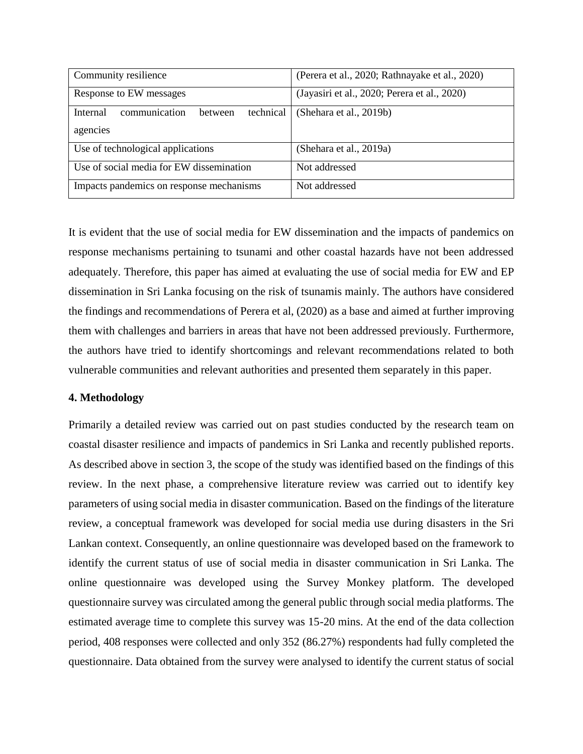| Community resilience                              | (Perera et al., 2020; Rathnayake et al., 2020) |
|---------------------------------------------------|------------------------------------------------|
| Response to EW messages                           | (Jayasiri et al., 2020; Perera et al., 2020)   |
| communication<br>technical<br>Internal<br>between | (Shehara et al., 2019b)                        |
| agencies                                          |                                                |
| Use of technological applications                 | (Shehara et al., 2019a)                        |
| Use of social media for EW dissemination          | Not addressed                                  |
| Impacts pandemics on response mechanisms          | Not addressed                                  |

It is evident that the use of social media for EW dissemination and the impacts of pandemics on response mechanisms pertaining to tsunami and other coastal hazards have not been addressed adequately. Therefore, this paper has aimed at evaluating the use of social media for EW and EP dissemination in Sri Lanka focusing on the risk of tsunamis mainly. The authors have considered the findings and recommendations of Perera et al, (2020) as a base and aimed at further improving them with challenges and barriers in areas that have not been addressed previously. Furthermore, the authors have tried to identify shortcomings and relevant recommendations related to both vulnerable communities and relevant authorities and presented them separately in this paper.

## **4. Methodology**

Primarily a detailed review was carried out on past studies conducted by the research team on coastal disaster resilience and impacts of pandemics in Sri Lanka and recently published reports. As described above in section 3, the scope of the study was identified based on the findings of this review. In the next phase, a comprehensive literature review was carried out to identify key parameters of using social media in disaster communication. Based on the findings of the literature review, a conceptual framework was developed for social media use during disasters in the Sri Lankan context. Consequently, an online questionnaire was developed based on the framework to identify the current status of use of social media in disaster communication in Sri Lanka. The online questionnaire was developed using the Survey Monkey platform. The developed questionnaire survey was circulated among the general public through social media platforms. The estimated average time to complete this survey was 15-20 mins. At the end of the data collection period, 408 responses were collected and only 352 (86.27%) respondents had fully completed the questionnaire. Data obtained from the survey were analysed to identify the current status of social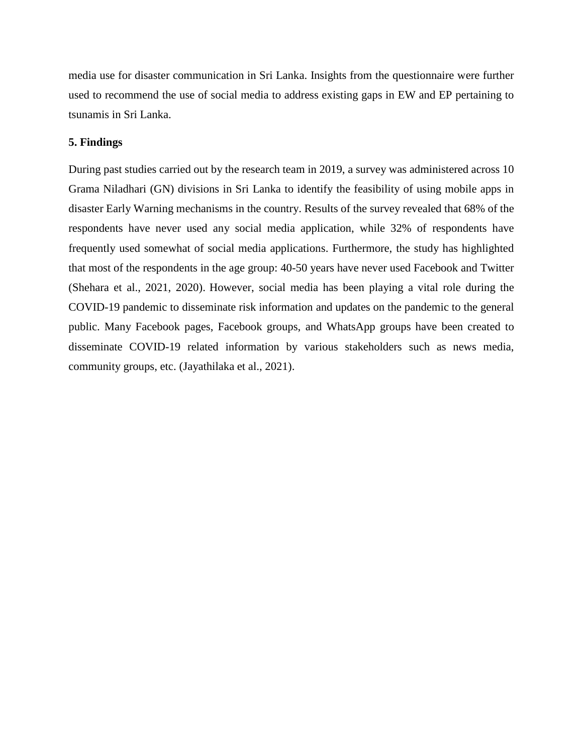media use for disaster communication in Sri Lanka. Insights from the questionnaire were further used to recommend the use of social media to address existing gaps in EW and EP pertaining to tsunamis in Sri Lanka.

## **5. Findings**

During past studies carried out by the research team in 2019, a survey was administered across 10 Grama Niladhari (GN) divisions in Sri Lanka to identify the feasibility of using mobile apps in disaster Early Warning mechanisms in the country. Results of the survey revealed that 68% of the respondents have never used any social media application, while 32% of respondents have frequently used somewhat of social media applications. Furthermore, the study has highlighted that most of the respondents in the age group: 40-50 years have never used Facebook and Twitter (Shehara et al., 2021, 2020). However, social media has been playing a vital role during the COVID-19 pandemic to disseminate risk information and updates on the pandemic to the general public. Many Facebook pages, Facebook groups, and WhatsApp groups have been created to disseminate COVID-19 related information by various stakeholders such as news media, community groups, etc. (Jayathilaka et al., 2021).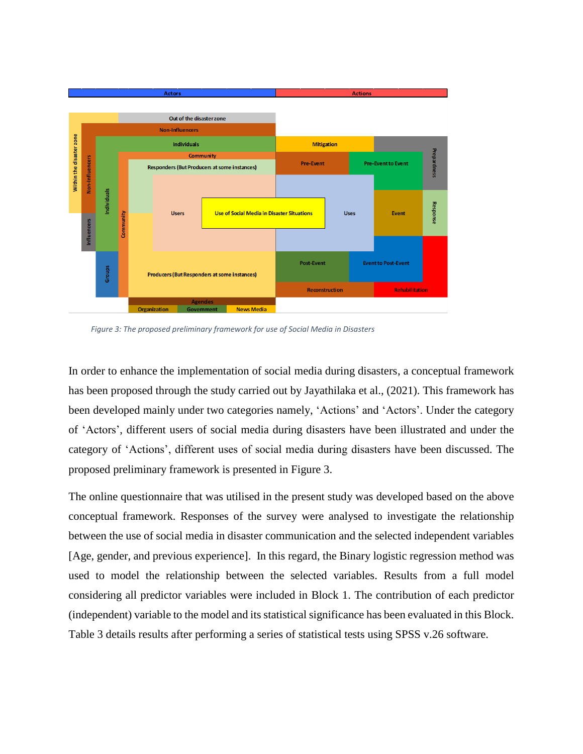

*Figure 3: The proposed preliminary framework for use of Social Media in Disasters*

In order to enhance the implementation of social media during disasters, a conceptual framework has been proposed through the study carried out by Jayathilaka et al., (2021). This framework has been developed mainly under two categories namely, 'Actions' and 'Actors'. Under the category of 'Actors', different users of social media during disasters have been illustrated and under the category of 'Actions', different uses of social media during disasters have been discussed. The proposed preliminary framework is presented in Figure 3.

The online questionnaire that was utilised in the present study was developed based on the above conceptual framework. Responses of the survey were analysed to investigate the relationship between the use of social media in disaster communication and the selected independent variables [Age, gender, and previous experience]. In this regard, the Binary logistic regression method was used to model the relationship between the selected variables. Results from a full model considering all predictor variables were included in Block 1. The contribution of each predictor (independent) variable to the model and its statistical significance has been evaluated in this Block. Table 3 details results after performing a series of statistical tests using SPSS v.26 software.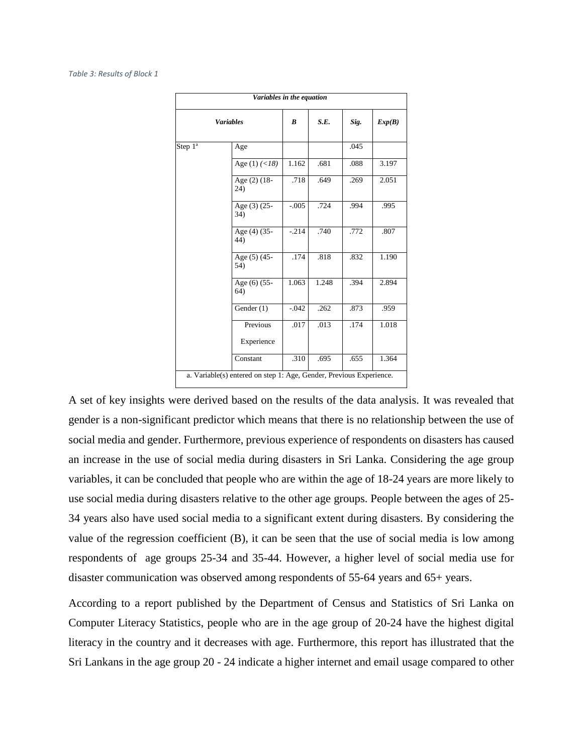|            | Variables in the equation                                           |         |       |      |        |
|------------|---------------------------------------------------------------------|---------|-------|------|--------|
|            | <b>Variables</b>                                                    | B       | S.E.  | Sig. | Exp(B) |
| Step $1^a$ | Age                                                                 |         |       | .045 |        |
|            | Age $(1)$ $(<18)$                                                   | 1.162   | .681  | .088 | 3.197  |
|            | Age (2) (18-<br>24)                                                 | .718    | .649  | .269 | 2.051  |
|            | Age (3) (25-<br>34)                                                 | $-.005$ | .724  | .994 | .995   |
|            | Age (4) (35-<br>44)                                                 | $-214$  | .740  | .772 | .807   |
|            | Age (5) (45-<br>54)                                                 | .174    | .818  | .832 | 1.190  |
|            | Age (6) $(\overline{55-}$<br>64)                                    | 1.063   | 1.248 | .394 | 2.894  |
|            | Gender (1)                                                          | $-.042$ | .262  | .873 | .959   |
|            | Previous<br>Experience                                              | .017    | .013  | .174 | 1.018  |
|            | Constant                                                            | .310    | .695  | .655 | 1.364  |
|            | a. Variable(s) entered on step 1: Age, Gender, Previous Experience. |         |       |      |        |

A set of key insights were derived based on the results of the data analysis. It was revealed that gender is a non-significant predictor which means that there is no relationship between the use of social media and gender. Furthermore, previous experience of respondents on disasters has caused an increase in the use of social media during disasters in Sri Lanka. Considering the age group variables, it can be concluded that people who are within the age of 18-24 years are more likely to use social media during disasters relative to the other age groups. People between the ages of 25- 34 years also have used social media to a significant extent during disasters. By considering the value of the regression coefficient (B), it can be seen that the use of social media is low among respondents of age groups 25-34 and 35-44. However, a higher level of social media use for disaster communication was observed among respondents of 55-64 years and 65+ years.

According to a report published by the Department of Census and Statistics of Sri Lanka on Computer Literacy Statistics, people who are in the age group of 20-24 have the highest digital literacy in the country and it decreases with age. Furthermore, this report has illustrated that the Sri Lankans in the age group 20 - 24 indicate a higher internet and email usage compared to other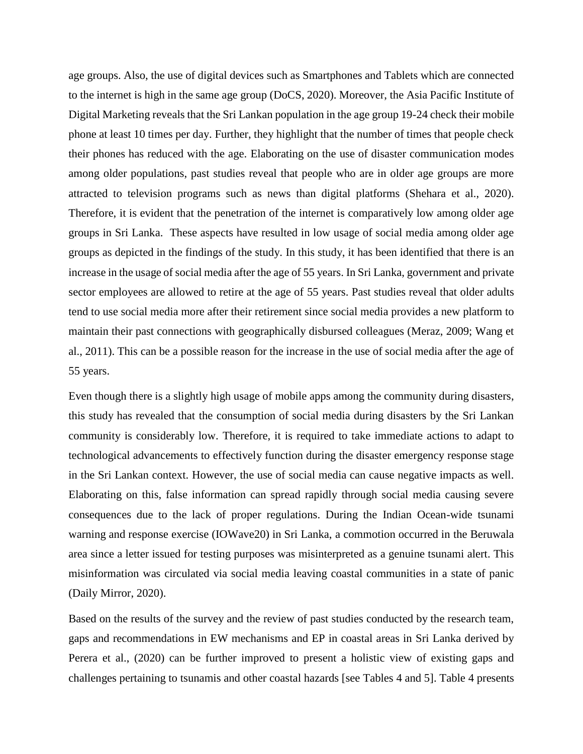age groups. Also, the use of digital devices such as Smartphones and Tablets which are connected to the internet is high in the same age group (DoCS, 2020). Moreover, the Asia Pacific Institute of Digital Marketing reveals that the Sri Lankan population in the age group 19-24 check their mobile phone at least 10 times per day. Further, they highlight that the number of times that people check their phones has reduced with the age. Elaborating on the use of disaster communication modes among older populations, past studies reveal that people who are in older age groups are more attracted to television programs such as news than digital platforms (Shehara et al., 2020). Therefore, it is evident that the penetration of the internet is comparatively low among older age groups in Sri Lanka. These aspects have resulted in low usage of social media among older age groups as depicted in the findings of the study. In this study, it has been identified that there is an increase in the usage of social media after the age of 55 years. In Sri Lanka, government and private sector employees are allowed to retire at the age of 55 years. Past studies reveal that older adults tend to use social media more after their retirement since social media provides a new platform to maintain their past connections with geographically disbursed colleagues (Meraz, 2009; Wang et al., 2011). This can be a possible reason for the increase in the use of social media after the age of 55 years.

Even though there is a slightly high usage of mobile apps among the community during disasters, this study has revealed that the consumption of social media during disasters by the Sri Lankan community is considerably low. Therefore, it is required to take immediate actions to adapt to technological advancements to effectively function during the disaster emergency response stage in the Sri Lankan context. However, the use of social media can cause negative impacts as well. Elaborating on this, false information can spread rapidly through social media causing severe consequences due to the lack of proper regulations. During the Indian Ocean-wide tsunami warning and response exercise (IOWave20) in Sri Lanka, a commotion occurred in the Beruwala area since a letter issued for testing purposes was misinterpreted as a genuine tsunami alert. This misinformation was circulated via social media leaving coastal communities in a state of panic (Daily Mirror, 2020).

Based on the results of the survey and the review of past studies conducted by the research team, gaps and recommendations in EW mechanisms and EP in coastal areas in Sri Lanka derived by Perera et al., (2020) can be further improved to present a holistic view of existing gaps and challenges pertaining to tsunamis and other coastal hazards [see Tables 4 and 5]. Table 4 presents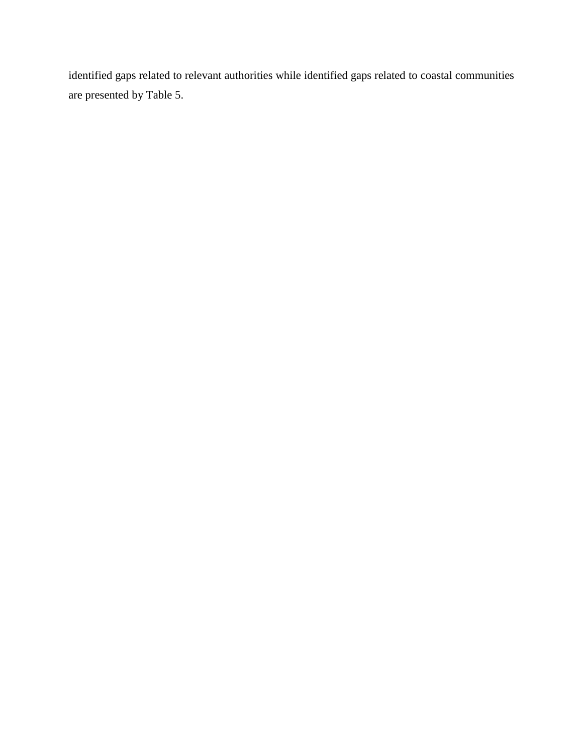identified gaps related to relevant authorities while identified gaps related to coastal communities are presented by Table 5.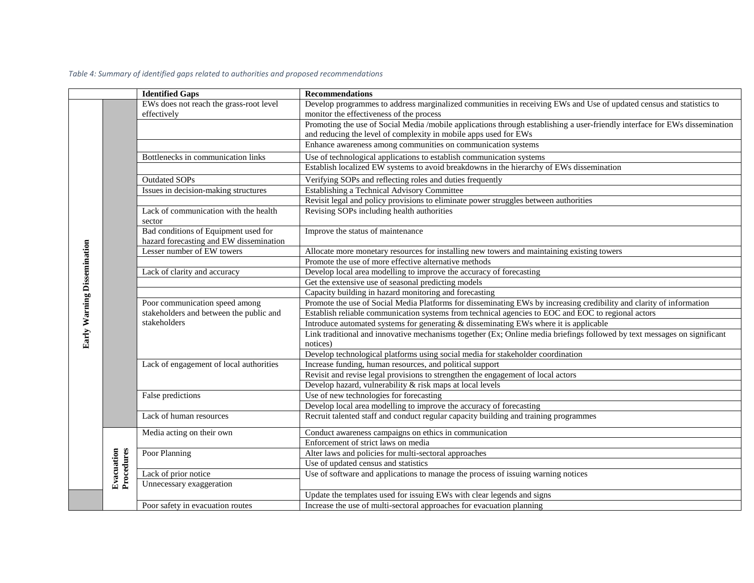|                             |                          | <b>Identified Gaps</b>                  | <b>Recommendations</b>                                                                                                      |
|-----------------------------|--------------------------|-----------------------------------------|-----------------------------------------------------------------------------------------------------------------------------|
|                             |                          | EWs does not reach the grass-root level | Develop programmes to address marginalized communities in receiving EWs and Use of updated census and statistics to         |
|                             |                          | effectively                             | monitor the effectiveness of the process                                                                                    |
|                             |                          |                                         | Promoting the use of Social Media /mobile applications through establishing a user-friendly interface for EWs dissemination |
|                             |                          |                                         | and reducing the level of complexity in mobile apps used for EWs                                                            |
|                             |                          |                                         | Enhance awareness among communities on communication systems                                                                |
|                             |                          | Bottlenecks in communication links      | Use of technological applications to establish communication systems                                                        |
|                             |                          |                                         | Establish localized EW systems to avoid breakdowns in the hierarchy of EWs dissemination                                    |
|                             |                          | <b>Outdated SOPs</b>                    | Verifying SOPs and reflecting roles and duties frequently                                                                   |
|                             |                          | Issues in decision-making structures    | <b>Establishing a Technical Advisory Committee</b>                                                                          |
|                             |                          |                                         | Revisit legal and policy provisions to eliminate power struggles between authorities                                        |
|                             |                          | Lack of communication with the health   | Revising SOPs including health authorities                                                                                  |
|                             |                          | sector                                  |                                                                                                                             |
| Early Warning Dissemination |                          | Bad conditions of Equipment used for    | Improve the status of maintenance                                                                                           |
|                             |                          | hazard forecasting and EW dissemination |                                                                                                                             |
|                             |                          | Lesser number of EW towers              | Allocate more monetary resources for installing new towers and maintaining existing towers                                  |
|                             |                          |                                         | Promote the use of more effective alternative methods                                                                       |
|                             |                          | Lack of clarity and accuracy            | Develop local area modelling to improve the accuracy of forecasting                                                         |
|                             |                          |                                         | Get the extensive use of seasonal predicting models                                                                         |
|                             |                          |                                         | Capacity building in hazard monitoring and forecasting                                                                      |
|                             |                          | Poor communication speed among          | Promote the use of Social Media Platforms for disseminating EWs by increasing credibility and clarity of information        |
|                             |                          | stakeholders and between the public and | Establish reliable communication systems from technical agencies to EOC and EOC to regional actors                          |
|                             |                          | stakeholders                            | Introduce automated systems for generating & disseminating EWs where it is applicable                                       |
|                             |                          |                                         | Link traditional and innovative mechanisms together (Ex; Online media briefings followed by text messages on significant    |
|                             |                          |                                         | notices)                                                                                                                    |
|                             |                          |                                         | Develop technological platforms using social media for stakeholder coordination                                             |
|                             |                          | Lack of engagement of local authorities | Increase funding, human resources, and political support                                                                    |
|                             |                          |                                         | Revisit and revise legal provisions to strengthen the engagement of local actors                                            |
|                             |                          |                                         | Develop hazard, vulnerability $&$ risk maps at local levels                                                                 |
|                             |                          | False predictions                       | Use of new technologies for forecasting                                                                                     |
|                             |                          |                                         | Develop local area modelling to improve the accuracy of forecasting                                                         |
|                             |                          | Lack of human resources                 | Recruit talented staff and conduct regular capacity building and training programmes                                        |
|                             |                          | Media acting on their own               | Conduct awareness campaigns on ethics in communication                                                                      |
|                             |                          |                                         | Enforcement of strict laws on media                                                                                         |
|                             |                          | Poor Planning                           | Alter laws and policies for multi-sectoral approaches                                                                       |
|                             | Procedures<br>Evacuation |                                         | Use of updated census and statistics                                                                                        |
|                             |                          | Lack of prior notice                    | Use of software and applications to manage the process of issuing warning notices                                           |
|                             |                          | Unnecessary exaggeration                |                                                                                                                             |
|                             |                          |                                         | Update the templates used for issuing EWs with clear legends and signs                                                      |
|                             |                          | Poor safety in evacuation routes        | Increase the use of multi-sectoral approaches for evacuation planning                                                       |

*Table 4: Summary of identified gaps related to authorities and proposed recommendations*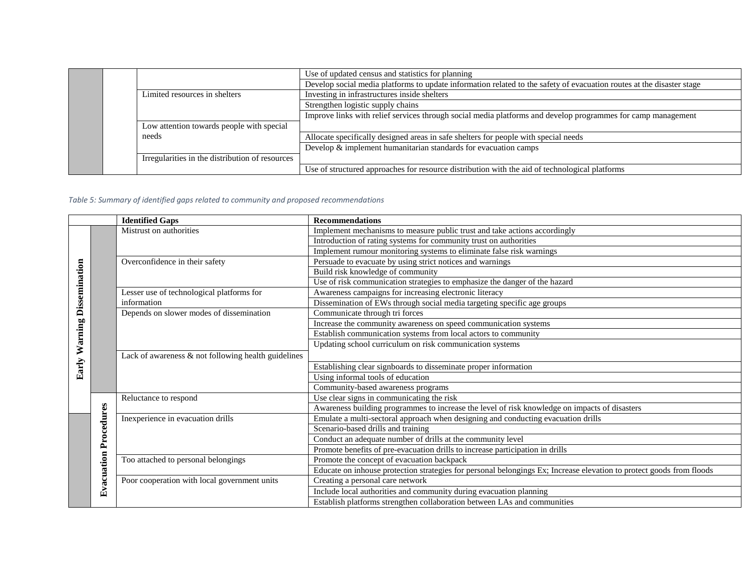|                                                 | Use of updated census and statistics for planning                                                                     |
|-------------------------------------------------|-----------------------------------------------------------------------------------------------------------------------|
|                                                 | Develop social media platforms to update information related to the safety of evacuation routes at the disaster stage |
| Limited resources in shelters                   | Investing in infrastructures inside shelters                                                                          |
|                                                 | Strengthen logistic supply chains                                                                                     |
|                                                 | Improve links with relief services through social media platforms and develop programmes for camp management          |
| Low attention towards people with special       |                                                                                                                       |
| needs                                           | Allocate specifically designed areas in safe shelters for people with special needs                                   |
|                                                 | Develop & implement humanitarian standards for evacuation camps                                                       |
| Irregularities in the distribution of resources |                                                                                                                       |
|                                                 | Use of structured approaches for resource distribution with the aid of technological platforms                        |

#### *Table 5: Summary of identified gaps related to community and proposed recommendations*

|                                       |             | <b>Identified Gaps</b>                                 | <b>Recommendations</b>                                                                                               |
|---------------------------------------|-------------|--------------------------------------------------------|----------------------------------------------------------------------------------------------------------------------|
|                                       |             | Mistrust on authorities                                | Implement mechanisms to measure public trust and take actions accordingly                                            |
|                                       |             |                                                        | Introduction of rating systems for community trust on authorities                                                    |
| <b>Warning Dissemination</b><br>Early |             |                                                        | Implement rumour monitoring systems to eliminate false risk warnings                                                 |
|                                       |             | Overconfidence in their safety                         | Persuade to evacuate by using strict notices and warnings                                                            |
|                                       |             |                                                        | Build risk knowledge of community                                                                                    |
|                                       |             |                                                        | Use of risk communication strategies to emphasize the danger of the hazard                                           |
|                                       |             | Lesser use of technological platforms for              | Awareness campaigns for increasing electronic literacy                                                               |
|                                       | information |                                                        | Dissemination of EWs through social media targeting specific age groups                                              |
|                                       |             | Depends on slower modes of dissemination               | Communicate through tri forces                                                                                       |
|                                       |             |                                                        | Increase the community awareness on speed communication systems                                                      |
|                                       |             |                                                        | Establish communication systems from local actors to community                                                       |
|                                       |             |                                                        | Updating school curriculum on risk communication systems                                                             |
|                                       |             | Lack of awareness $\&$ not following health guidelines |                                                                                                                      |
|                                       |             |                                                        | Establishing clear signboards to disseminate proper information                                                      |
|                                       |             |                                                        | Using informal tools of education                                                                                    |
|                                       |             |                                                        | Community-based awareness programs                                                                                   |
|                                       |             | Reluctance to respond                                  | Use clear signs in communicating the risk                                                                            |
|                                       |             |                                                        | Awareness building programmes to increase the level of risk knowledge on impacts of disasters                        |
|                                       | Procedures  | Inexperience in evacuation drills                      | Emulate a multi-sectoral approach when designing and conducting evacuation drills                                    |
|                                       |             |                                                        | Scenario-based drills and training                                                                                   |
|                                       |             |                                                        | Conduct an adequate number of drills at the community level                                                          |
|                                       |             |                                                        | Promote benefits of pre-evacuation drills to increase participation in drills                                        |
|                                       |             | Too attached to personal belongings                    | Promote the concept of evacuation backpack                                                                           |
|                                       |             |                                                        | Educate on inhouse protection strategies for personal belongings Ex; Increase elevation to protect goods from floods |
|                                       | Evacuation  | Poor cooperation with local government units           | Creating a personal care network                                                                                     |
|                                       |             |                                                        | Include local authorities and community during evacuation planning                                                   |
|                                       |             |                                                        | Establish platforms strengthen collaboration between LAs and communities                                             |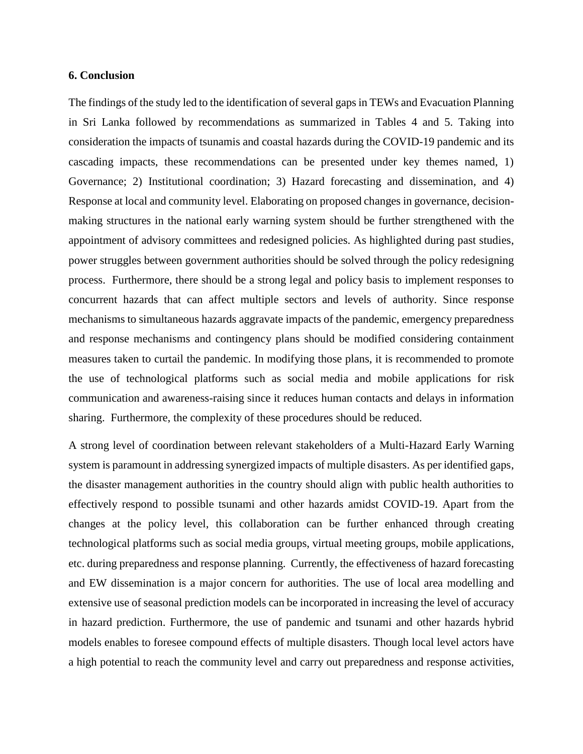## **6. Conclusion**

The findings of the study led to the identification of several gaps in TEWs and Evacuation Planning in Sri Lanka followed by recommendations as summarized in Tables 4 and 5. Taking into consideration the impacts of tsunamis and coastal hazards during the COVID-19 pandemic and its cascading impacts, these recommendations can be presented under key themes named, 1) Governance; 2) Institutional coordination; 3) Hazard forecasting and dissemination, and 4) Response at local and community level. Elaborating on proposed changes in governance, decisionmaking structures in the national early warning system should be further strengthened with the appointment of advisory committees and redesigned policies. As highlighted during past studies, power struggles between government authorities should be solved through the policy redesigning process. Furthermore, there should be a strong legal and policy basis to implement responses to concurrent hazards that can affect multiple sectors and levels of authority. Since response mechanisms to simultaneous hazards aggravate impacts of the pandemic, emergency preparedness and response mechanisms and contingency plans should be modified considering containment measures taken to curtail the pandemic. In modifying those plans, it is recommended to promote the use of technological platforms such as social media and mobile applications for risk communication and awareness-raising since it reduces human contacts and delays in information sharing. Furthermore, the complexity of these procedures should be reduced.

A strong level of coordination between relevant stakeholders of a Multi-Hazard Early Warning system is paramount in addressing synergized impacts of multiple disasters. As per identified gaps, the disaster management authorities in the country should align with public health authorities to effectively respond to possible tsunami and other hazards amidst COVID-19. Apart from the changes at the policy level, this collaboration can be further enhanced through creating technological platforms such as social media groups, virtual meeting groups, mobile applications, etc. during preparedness and response planning. Currently, the effectiveness of hazard forecasting and EW dissemination is a major concern for authorities. The use of local area modelling and extensive use of seasonal prediction models can be incorporated in increasing the level of accuracy in hazard prediction. Furthermore, the use of pandemic and tsunami and other hazards hybrid models enables to foresee compound effects of multiple disasters. Though local level actors have a high potential to reach the community level and carry out preparedness and response activities,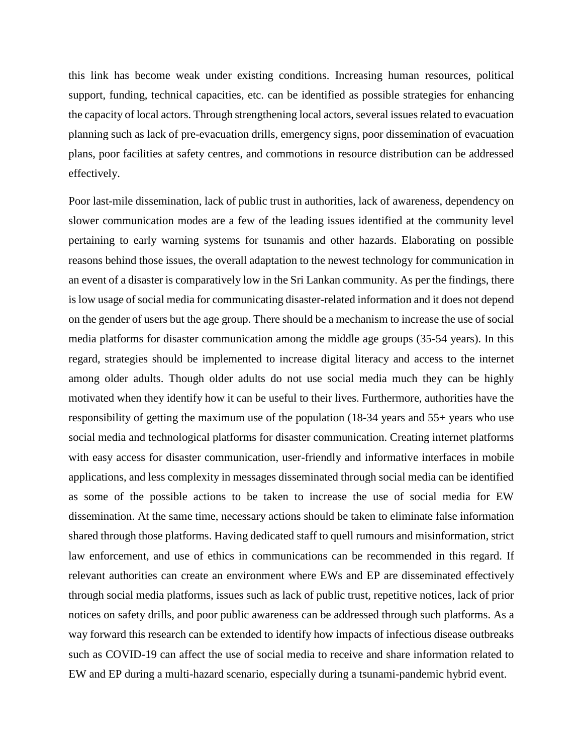this link has become weak under existing conditions. Increasing human resources, political support, funding, technical capacities, etc. can be identified as possible strategies for enhancing the capacity of local actors. Through strengthening local actors, several issues related to evacuation planning such as lack of pre-evacuation drills, emergency signs, poor dissemination of evacuation plans, poor facilities at safety centres, and commotions in resource distribution can be addressed effectively.

Poor last-mile dissemination, lack of public trust in authorities, lack of awareness, dependency on slower communication modes are a few of the leading issues identified at the community level pertaining to early warning systems for tsunamis and other hazards. Elaborating on possible reasons behind those issues, the overall adaptation to the newest technology for communication in an event of a disaster is comparatively low in the Sri Lankan community. As per the findings, there is low usage of social media for communicating disaster-related information and it does not depend on the gender of users but the age group. There should be a mechanism to increase the use of social media platforms for disaster communication among the middle age groups (35-54 years). In this regard, strategies should be implemented to increase digital literacy and access to the internet among older adults. Though older adults do not use social media much they can be highly motivated when they identify how it can be useful to their lives. Furthermore, authorities have the responsibility of getting the maximum use of the population (18-34 years and 55+ years who use social media and technological platforms for disaster communication. Creating internet platforms with easy access for disaster communication, user-friendly and informative interfaces in mobile applications, and less complexity in messages disseminated through social media can be identified as some of the possible actions to be taken to increase the use of social media for EW dissemination. At the same time, necessary actions should be taken to eliminate false information shared through those platforms. Having dedicated staff to quell rumours and misinformation, strict law enforcement, and use of ethics in communications can be recommended in this regard. If relevant authorities can create an environment where EWs and EP are disseminated effectively through social media platforms, issues such as lack of public trust, repetitive notices, lack of prior notices on safety drills, and poor public awareness can be addressed through such platforms. As a way forward this research can be extended to identify how impacts of infectious disease outbreaks such as COVID-19 can affect the use of social media to receive and share information related to EW and EP during a multi-hazard scenario, especially during a tsunami-pandemic hybrid event.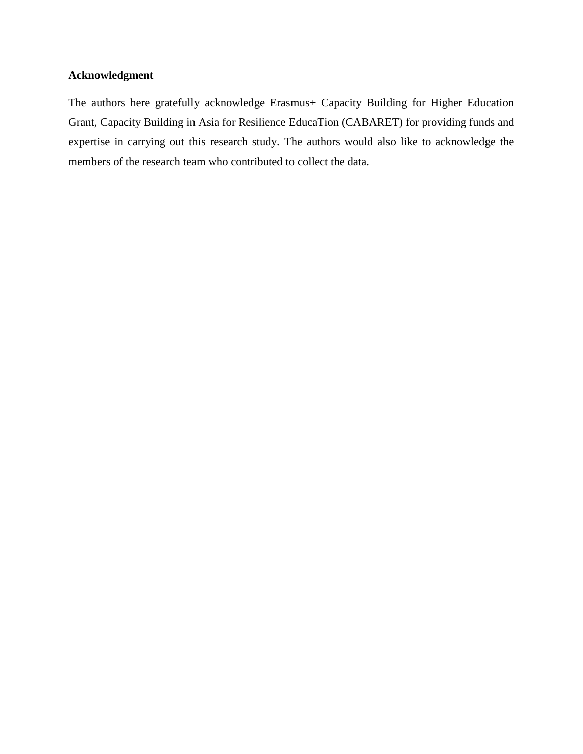## **Acknowledgment**

The authors here gratefully acknowledge Erasmus+ Capacity Building for Higher Education Grant, Capacity Building in Asia for Resilience EducaTion (CABARET) for providing funds and expertise in carrying out this research study. The authors would also like to acknowledge the members of the research team who contributed to collect the data.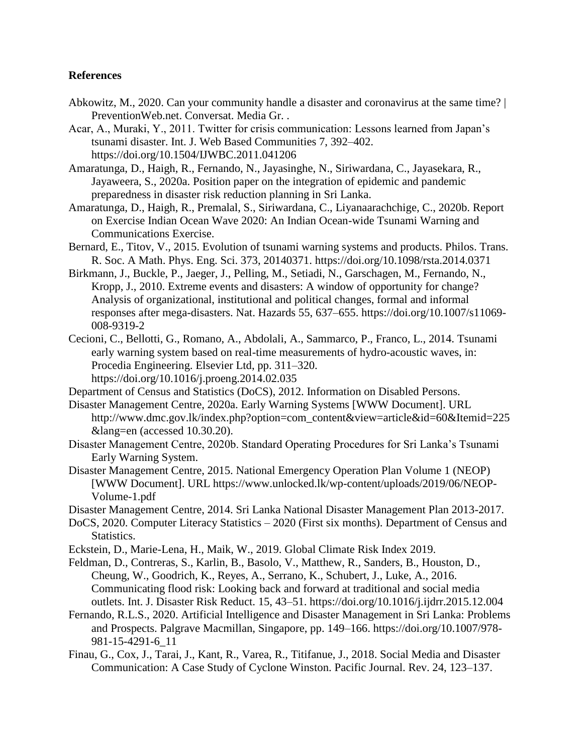## **References**

- Abkowitz, M., 2020. Can your community handle a disaster and coronavirus at the same time? | PreventionWeb.net. Conversat. Media Gr. .
- Acar, A., Muraki, Y., 2011. Twitter for crisis communication: Lessons learned from Japan's tsunami disaster. Int. J. Web Based Communities 7, 392–402. https://doi.org/10.1504/IJWBC.2011.041206
- Amaratunga, D., Haigh, R., Fernando, N., Jayasinghe, N., Siriwardana, C., Jayasekara, R., Jayaweera, S., 2020a. Position paper on the integration of epidemic and pandemic preparedness in disaster risk reduction planning in Sri Lanka.
- Amaratunga, D., Haigh, R., Premalal, S., Siriwardana, C., Liyanaarachchige, C., 2020b. Report on Exercise Indian Ocean Wave 2020: An Indian Ocean-wide Tsunami Warning and Communications Exercise.
- Bernard, E., Titov, V., 2015. Evolution of tsunami warning systems and products. Philos. Trans. R. Soc. A Math. Phys. Eng. Sci. 373, 20140371. https://doi.org/10.1098/rsta.2014.0371
- Birkmann, J., Buckle, P., Jaeger, J., Pelling, M., Setiadi, N., Garschagen, M., Fernando, N., Kropp, J., 2010. Extreme events and disasters: A window of opportunity for change? Analysis of organizational, institutional and political changes, formal and informal responses after mega-disasters. Nat. Hazards 55, 637–655. https://doi.org/10.1007/s11069- 008-9319-2
- Cecioni, C., Bellotti, G., Romano, A., Abdolali, A., Sammarco, P., Franco, L., 2014. Tsunami early warning system based on real-time measurements of hydro-acoustic waves, in: Procedia Engineering. Elsevier Ltd, pp. 311–320. https://doi.org/10.1016/j.proeng.2014.02.035
- Department of Census and Statistics (DoCS), 2012. Information on Disabled Persons.
- Disaster Management Centre, 2020a. Early Warning Systems [WWW Document]. URL http://www.dmc.gov.lk/index.php?option=com\_content&view=article&id=60&Itemid=225 &lang=en (accessed 10.30.20).
- Disaster Management Centre, 2020b. Standard Operating Procedures for Sri Lanka's Tsunami Early Warning System.
- Disaster Management Centre, 2015. National Emergency Operation Plan Volume 1 (NEOP) [WWW Document]. URL https://www.unlocked.lk/wp-content/uploads/2019/06/NEOP-Volume-1.pdf
- Disaster Management Centre, 2014. Sri Lanka National Disaster Management Plan 2013-2017.
- DoCS, 2020. Computer Literacy Statistics 2020 (First six months). Department of Census and Statistics.
- Eckstein, D., Marie-Lena, H., Maik, W., 2019. Global Climate Risk Index 2019.
- Feldman, D., Contreras, S., Karlin, B., Basolo, V., Matthew, R., Sanders, B., Houston, D., Cheung, W., Goodrich, K., Reyes, A., Serrano, K., Schubert, J., Luke, A., 2016. Communicating flood risk: Looking back and forward at traditional and social media outlets. Int. J. Disaster Risk Reduct. 15, 43–51. https://doi.org/10.1016/j.ijdrr.2015.12.004
- Fernando, R.L.S., 2020. Artificial Intelligence and Disaster Management in Sri Lanka: Problems and Prospects. Palgrave Macmillan, Singapore, pp. 149–166. https://doi.org/10.1007/978- 981-15-4291-6\_11
- Finau, G., Cox, J., Tarai, J., Kant, R., Varea, R., Titifanue, J., 2018. Social Media and Disaster Communication: A Case Study of Cyclone Winston. Pacific Journal. Rev. 24, 123–137.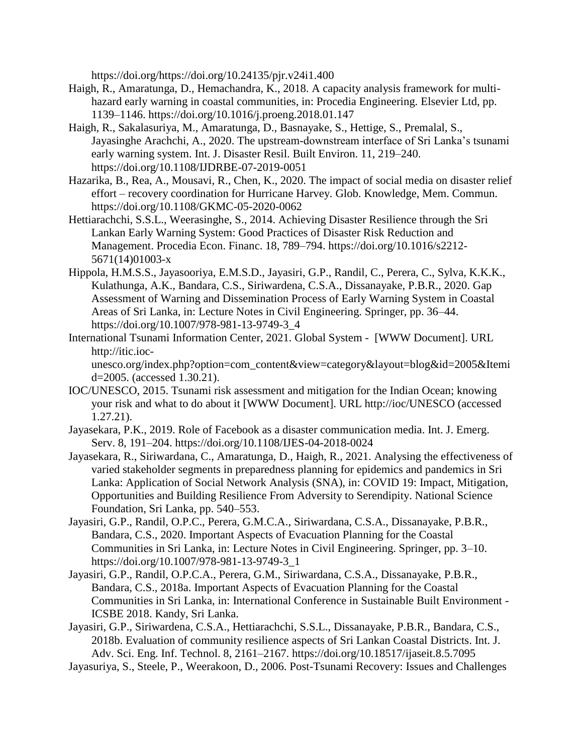https://doi.org/https://doi.org/10.24135/pjr.v24i1.400

- Haigh, R., Amaratunga, D., Hemachandra, K., 2018. A capacity analysis framework for multihazard early warning in coastal communities, in: Procedia Engineering. Elsevier Ltd, pp. 1139–1146. https://doi.org/10.1016/j.proeng.2018.01.147
- Haigh, R., Sakalasuriya, M., Amaratunga, D., Basnayake, S., Hettige, S., Premalal, S., Jayasinghe Arachchi, A., 2020. The upstream-downstream interface of Sri Lanka's tsunami early warning system. Int. J. Disaster Resil. Built Environ. 11, 219–240. https://doi.org/10.1108/IJDRBE-07-2019-0051
- Hazarika, B., Rea, A., Mousavi, R., Chen, K., 2020. The impact of social media on disaster relief effort – recovery coordination for Hurricane Harvey. Glob. Knowledge, Mem. Commun. https://doi.org/10.1108/GKMC-05-2020-0062
- Hettiarachchi, S.S.L., Weerasinghe, S., 2014. Achieving Disaster Resilience through the Sri Lankan Early Warning System: Good Practices of Disaster Risk Reduction and Management. Procedia Econ. Financ. 18, 789–794. https://doi.org/10.1016/s2212- 5671(14)01003-x
- Hippola, H.M.S.S., Jayasooriya, E.M.S.D., Jayasiri, G.P., Randil, C., Perera, C., Sylva, K.K.K., Kulathunga, A.K., Bandara, C.S., Siriwardena, C.S.A., Dissanayake, P.B.R., 2020. Gap Assessment of Warning and Dissemination Process of Early Warning System in Coastal Areas of Sri Lanka, in: Lecture Notes in Civil Engineering. Springer, pp. 36–44. https://doi.org/10.1007/978-981-13-9749-3\_4
- International Tsunami Information Center, 2021. Global System [WWW Document]. URL http://itic.ioc-

unesco.org/index.php?option=com\_content&view=category&layout=blog&id=2005&Itemi d=2005. (accessed 1.30.21).

- IOC/UNESCO, 2015. Tsunami risk assessment and mitigation for the Indian Ocean; knowing your risk and what to do about it [WWW Document]. URL http://ioc/UNESCO (accessed 1.27.21).
- Jayasekara, P.K., 2019. Role of Facebook as a disaster communication media. Int. J. Emerg. Serv. 8, 191–204. https://doi.org/10.1108/IJES-04-2018-0024
- Jayasekara, R., Siriwardana, C., Amaratunga, D., Haigh, R., 2021. Analysing the effectiveness of varied stakeholder segments in preparedness planning for epidemics and pandemics in Sri Lanka: Application of Social Network Analysis (SNA), in: COVID 19: Impact, Mitigation, Opportunities and Building Resilience From Adversity to Serendipity. National Science Foundation, Sri Lanka, pp. 540–553.
- Jayasiri, G.P., Randil, O.P.C., Perera, G.M.C.A., Siriwardana, C.S.A., Dissanayake, P.B.R., Bandara, C.S., 2020. Important Aspects of Evacuation Planning for the Coastal Communities in Sri Lanka, in: Lecture Notes in Civil Engineering. Springer, pp. 3–10. https://doi.org/10.1007/978-981-13-9749-3\_1
- Jayasiri, G.P., Randil, O.P.C.A., Perera, G.M., Siriwardana, C.S.A., Dissanayake, P.B.R., Bandara, C.S., 2018a. Important Aspects of Evacuation Planning for the Coastal Communities in Sri Lanka, in: International Conference in Sustainable Built Environment - ICSBE 2018. Kandy, Sri Lanka.
- Jayasiri, G.P., Siriwardena, C.S.A., Hettiarachchi, S.S.L., Dissanayake, P.B.R., Bandara, C.S., 2018b. Evaluation of community resilience aspects of Sri Lankan Coastal Districts. Int. J. Adv. Sci. Eng. Inf. Technol. 8, 2161–2167. https://doi.org/10.18517/ijaseit.8.5.7095
- Jayasuriya, S., Steele, P., Weerakoon, D., 2006. Post-Tsunami Recovery: Issues and Challenges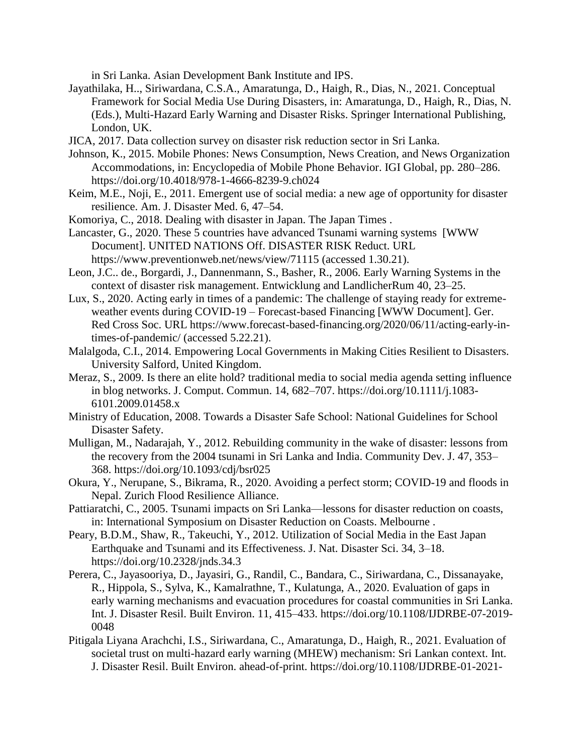in Sri Lanka. Asian Development Bank Institute and IPS.

- Jayathilaka, H.., Siriwardana, C.S.A., Amaratunga, D., Haigh, R., Dias, N., 2021. Conceptual Framework for Social Media Use During Disasters, in: Amaratunga, D., Haigh, R., Dias, N. (Eds.), Multi-Hazard Early Warning and Disaster Risks. Springer International Publishing, London, UK.
- JICA, 2017. Data collection survey on disaster risk reduction sector in Sri Lanka.
- Johnson, K., 2015. Mobile Phones: News Consumption, News Creation, and News Organization Accommodations, in: Encyclopedia of Mobile Phone Behavior. IGI Global, pp. 280–286. https://doi.org/10.4018/978-1-4666-8239-9.ch024
- Keim, M.E., Noji, E., 2011. Emergent use of social media: a new age of opportunity for disaster resilience. Am. J. Disaster Med. 6, 47–54.
- Komoriya, C., 2018. Dealing with disaster in Japan. The Japan Times .
- Lancaster, G., 2020. These 5 countries have advanced Tsunami warning systems [WWW Document]. UNITED NATIONS Off. DISASTER RISK Reduct. URL https://www.preventionweb.net/news/view/71115 (accessed 1.30.21).
- Leon, J.C.. de., Borgardi, J., Dannenmann, S., Basher, R., 2006. Early Warning Systems in the context of disaster risk management. Entwicklung and LandlicherRum 40, 23–25.
- Lux, S., 2020. Acting early in times of a pandemic: The challenge of staying ready for extremeweather events during COVID-19 – Forecast-based Financing [WWW Document]. Ger. Red Cross Soc. URL https://www.forecast-based-financing.org/2020/06/11/acting-early-intimes-of-pandemic/ (accessed 5.22.21).
- Malalgoda, C.I., 2014. Empowering Local Governments in Making Cities Resilient to Disasters. University Salford, United Kingdom.
- Meraz, S., 2009. Is there an elite hold? traditional media to social media agenda setting influence in blog networks. J. Comput. Commun. 14, 682–707. https://doi.org/10.1111/j.1083- 6101.2009.01458.x
- Ministry of Education, 2008. Towards a Disaster Safe School: National Guidelines for School Disaster Safety.
- Mulligan, M., Nadarajah, Y., 2012. Rebuilding community in the wake of disaster: lessons from the recovery from the 2004 tsunami in Sri Lanka and India. Community Dev. J. 47, 353– 368. https://doi.org/10.1093/cdj/bsr025
- Okura, Y., Nerupane, S., Bikrama, R., 2020. Avoiding a perfect storm; COVID-19 and floods in Nepal. Zurich Flood Resilience Alliance.
- Pattiaratchi, C., 2005. Tsunami impacts on Sri Lanka—lessons for disaster reduction on coasts, in: International Symposium on Disaster Reduction on Coasts. Melbourne .
- Peary, B.D.M., Shaw, R., Takeuchi, Y., 2012. Utilization of Social Media in the East Japan Earthquake and Tsunami and its Effectiveness. J. Nat. Disaster Sci. 34, 3–18. https://doi.org/10.2328/jnds.34.3
- Perera, C., Jayasooriya, D., Jayasiri, G., Randil, C., Bandara, C., Siriwardana, C., Dissanayake, R., Hippola, S., Sylva, K., Kamalrathne, T., Kulatunga, A., 2020. Evaluation of gaps in early warning mechanisms and evacuation procedures for coastal communities in Sri Lanka. Int. J. Disaster Resil. Built Environ. 11, 415–433. https://doi.org/10.1108/IJDRBE-07-2019- 0048
- Pitigala Liyana Arachchi, I.S., Siriwardana, C., Amaratunga, D., Haigh, R., 2021. Evaluation of societal trust on multi-hazard early warning (MHEW) mechanism: Sri Lankan context. Int. J. Disaster Resil. Built Environ. ahead-of-print. https://doi.org/10.1108/IJDRBE-01-2021-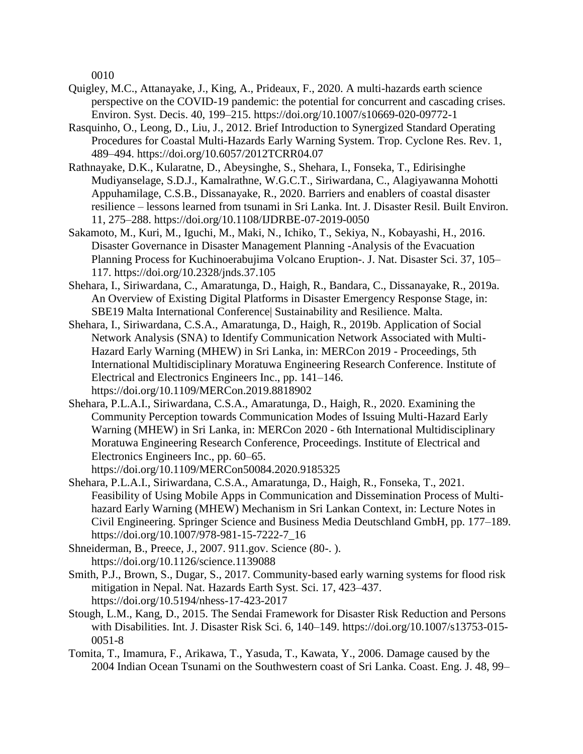0010

- Quigley, M.C., Attanayake, J., King, A., Prideaux, F., 2020. A multi-hazards earth science perspective on the COVID-19 pandemic: the potential for concurrent and cascading crises. Environ. Syst. Decis. 40, 199–215. https://doi.org/10.1007/s10669-020-09772-1
- Rasquinho, O., Leong, D., Liu, J., 2012. Brief Introduction to Synergized Standard Operating Procedures for Coastal Multi-Hazards Early Warning System. Trop. Cyclone Res. Rev. 1, 489–494. https://doi.org/10.6057/2012TCRR04.07
- Rathnayake, D.K., Kularatne, D., Abeysinghe, S., Shehara, I., Fonseka, T., Edirisinghe Mudiyanselage, S.D.J., Kamalrathne, W.G.C.T., Siriwardana, C., Alagiyawanna Mohotti Appuhamilage, C.S.B., Dissanayake, R., 2020. Barriers and enablers of coastal disaster resilience – lessons learned from tsunami in Sri Lanka. Int. J. Disaster Resil. Built Environ. 11, 275–288. https://doi.org/10.1108/IJDRBE-07-2019-0050
- Sakamoto, M., Kuri, M., Iguchi, M., Maki, N., Ichiko, T., Sekiya, N., Kobayashi, H., 2016. Disaster Governance in Disaster Management Planning -Analysis of the Evacuation Planning Process for Kuchinoerabujima Volcano Eruption-. J. Nat. Disaster Sci. 37, 105– 117. https://doi.org/10.2328/jnds.37.105
- Shehara, I., Siriwardana, C., Amaratunga, D., Haigh, R., Bandara, C., Dissanayake, R., 2019a. An Overview of Existing Digital Platforms in Disaster Emergency Response Stage, in: SBE19 Malta International Conference| Sustainability and Resilience. Malta.
- Shehara, I., Siriwardana, C.S.A., Amaratunga, D., Haigh, R., 2019b. Application of Social Network Analysis (SNA) to Identify Communication Network Associated with Multi-Hazard Early Warning (MHEW) in Sri Lanka, in: MERCon 2019 - Proceedings, 5th International Multidisciplinary Moratuwa Engineering Research Conference. Institute of Electrical and Electronics Engineers Inc., pp. 141–146. https://doi.org/10.1109/MERCon.2019.8818902
- Shehara, P.L.A.I., Siriwardana, C.S.A., Amaratunga, D., Haigh, R., 2020. Examining the Community Perception towards Communication Modes of Issuing Multi-Hazard Early Warning (MHEW) in Sri Lanka, in: MERCon 2020 - 6th International Multidisciplinary Moratuwa Engineering Research Conference, Proceedings. Institute of Electrical and Electronics Engineers Inc., pp. 60–65.
	- https://doi.org/10.1109/MERCon50084.2020.9185325
- Shehara, P.L.A.I., Siriwardana, C.S.A., Amaratunga, D., Haigh, R., Fonseka, T., 2021. Feasibility of Using Mobile Apps in Communication and Dissemination Process of Multihazard Early Warning (MHEW) Mechanism in Sri Lankan Context, in: Lecture Notes in Civil Engineering. Springer Science and Business Media Deutschland GmbH, pp. 177–189. https://doi.org/10.1007/978-981-15-7222-7\_16
- Shneiderman, B., Preece, J., 2007. 911.gov. Science (80-. ). https://doi.org/10.1126/science.1139088
- Smith, P.J., Brown, S., Dugar, S., 2017. Community-based early warning systems for flood risk mitigation in Nepal. Nat. Hazards Earth Syst. Sci. 17, 423–437. https://doi.org/10.5194/nhess-17-423-2017
- Stough, L.M., Kang, D., 2015. The Sendai Framework for Disaster Risk Reduction and Persons with Disabilities. Int. J. Disaster Risk Sci. 6, 140–149. https://doi.org/10.1007/s13753-015- 0051-8
- Tomita, T., Imamura, F., Arikawa, T., Yasuda, T., Kawata, Y., 2006. Damage caused by the 2004 Indian Ocean Tsunami on the Southwestern coast of Sri Lanka. Coast. Eng. J. 48, 99–